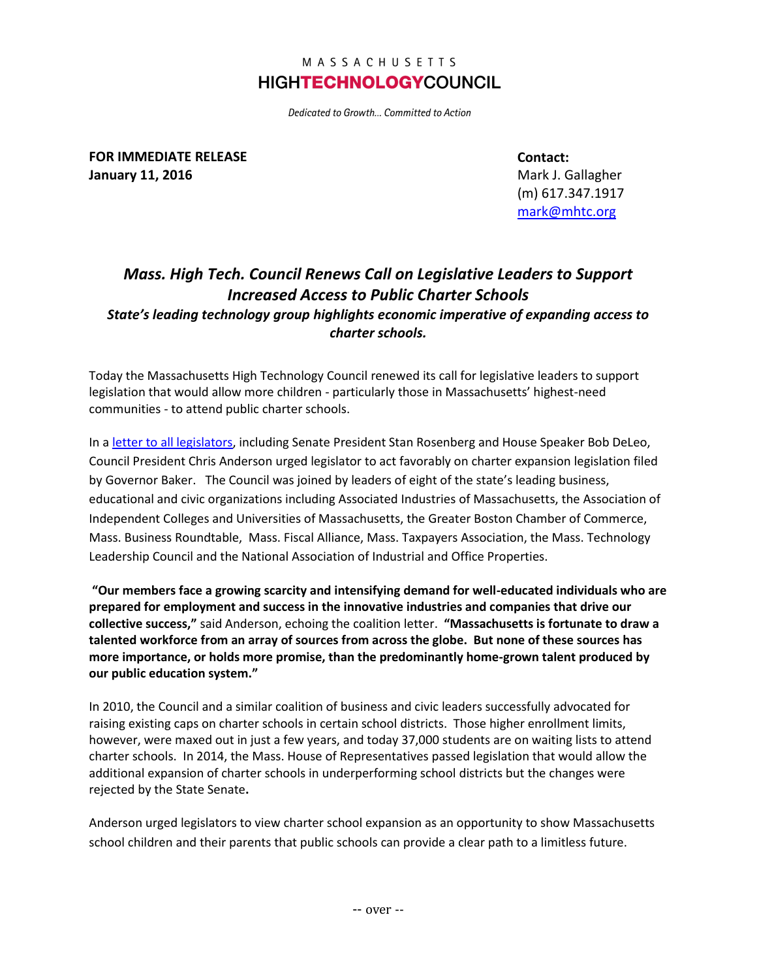## MASSACHUSETTS **HIGHTECHNOLOGYCOUNCIL**

Dedicated to Growth... Committed to Action

**FOR IMMEDIATE RELEASE January 11, 2016**

**Contact:**

Mark J. Gallagher (m) 617.347.1917 [mark@mhtc.org](mailto:chris@mhtc.org)

## *Mass. High Tech. Council Renews Call on Legislative Leaders to Support Increased Access to Public Charter Schools State's leading technology group highlights economic imperative of expanding access to charter schools.*

Today the Massachusetts High Technology Council renewed its call for legislative leaders to support legislation that would allow more children - particularly those in Massachusetts' highest-need communities - to attend public charter schools.

In a [letter to all legislators,](http://www.mhtc.org/wp-content/uploads/2016/01/Business-Leader-Letter-on-Charter-Schools_01112016_Senator.pdf) including Senate President Stan Rosenberg and House Speaker Bob DeLeo, Council President Chris Anderson urged legislator to act favorably on charter expansion legislation filed by Governor Baker. The Council was joined by leaders of eight of the state's leading business, educational and civic organizations including Associated Industries of Massachusetts, the Association of Independent Colleges and Universities of Massachusetts, the Greater Boston Chamber of Commerce, Mass. Business Roundtable, Mass. Fiscal Alliance, Mass. Taxpayers Association, the Mass. Technology Leadership Council and the National Association of Industrial and Office Properties.

**"Our members face a growing scarcity and intensifying demand for well-educated individuals who are prepared for employment and success in the innovative industries and companies that drive our collective success,"** said Anderson, echoing the coalition letter. **"Massachusetts is fortunate to draw a talented workforce from an array of sources from across the globe. But none of these sources has more importance, or holds more promise, than the predominantly home-grown talent produced by our public education system."**

In 2010, the Council and a similar coalition of business and civic leaders successfully advocated for raising existing caps on charter schools in certain school districts. Those higher enrollment limits, however, were maxed out in just a few years, and today 37,000 students are on waiting lists to attend charter schools. In 2014, the Mass. House of Representatives passed legislation that would allow the additional expansion of charter schools in underperforming school districts but the changes were rejected by the State Senate**.** 

Anderson urged legislators to view charter school expansion as an opportunity to show Massachusetts school children and their parents that public schools can provide a clear path to a limitless future.